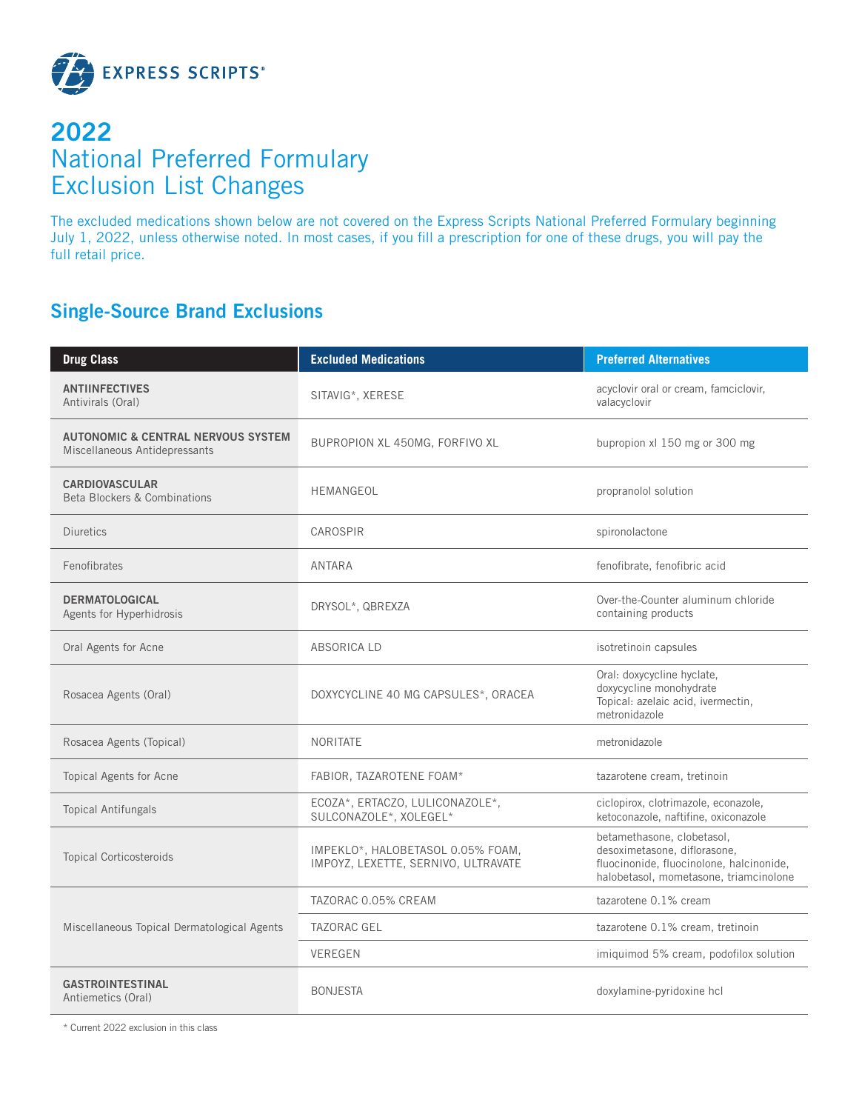

## **2022** National Preferred Formulary Exclusion List Changes

The excluded medications shown below are not covered on the Express Scripts National Preferred Formulary beginning July 1, 2022, unless otherwise noted. In most cases, if you fill a prescription for one of these drugs, you will pay the full retail price.

## **Single-Source Brand Exclusions**

| <b>Drug Class</b>                                                              | <b>Excluded Medications</b>                                              | <b>Preferred Alternatives</b>                                                                                                                    |
|--------------------------------------------------------------------------------|--------------------------------------------------------------------------|--------------------------------------------------------------------------------------------------------------------------------------------------|
| <b>ANTIINFECTIVES</b><br>Antivirals (Oral)                                     | SITAVIG*, XERESE                                                         | acyclovir oral or cream, famciclovir,<br>valacyclovir                                                                                            |
| <b>AUTONOMIC &amp; CENTRAL NERVOUS SYSTEM</b><br>Miscellaneous Antidepressants | BUPROPION XL 450MG, FORFIVO XL                                           | bupropion xl 150 mg or 300 mg                                                                                                                    |
| <b>CARDIOVASCULAR</b><br><b>Beta Blockers &amp; Combinations</b>               | <b>HEMANGEOL</b>                                                         | propranolol solution                                                                                                                             |
| Diuretics                                                                      | CAROSPIR                                                                 | spironolactone                                                                                                                                   |
| Fenofibrates                                                                   | <b>ANTARA</b>                                                            | fenofibrate, fenofibric acid                                                                                                                     |
| <b>DERMATOLOGICAL</b><br>Agents for Hyperhidrosis                              | DRYSOL*, QBREXZA                                                         | Over-the-Counter aluminum chloride<br>containing products                                                                                        |
| Oral Agents for Acne                                                           | ABSORICA LD                                                              | isotretinoin capsules                                                                                                                            |
| Rosacea Agents (Oral)                                                          | DOXYCYCLINE 40 MG CAPSULES*, ORACEA                                      | Oral: doxycycline hyclate,<br>doxycycline monohydrate<br>Topical: azelaic acid, ivermectin,<br>metronidazole                                     |
| Rosacea Agents (Topical)                                                       | <b>NORITATE</b>                                                          | metronidazole                                                                                                                                    |
| Topical Agents for Acne                                                        | FABIOR, TAZAROTENE FOAM*                                                 | tazarotene cream, tretinoin                                                                                                                      |
| <b>Topical Antifungals</b>                                                     | ECOZA*, ERTACZO, LULICONAZOLE*,<br>SULCONAZOLE*, XOLEGEL*                | ciclopirox, clotrimazole, econazole,<br>ketoconazole, naftifine, oxiconazole                                                                     |
| <b>Topical Corticosteroids</b>                                                 | IMPEKLO*, HALOBETASOL 0.05% FOAM,<br>IMPOYZ, LEXETTE, SERNIVO, ULTRAVATE | betamethasone, clobetasol,<br>desoximetasone, diflorasone,<br>fluocinonide, fluocinolone, halcinonide,<br>halobetasol, mometasone, triamcinolone |
|                                                                                | TAZORAC 0.05% CREAM                                                      | tazarotene 0.1% cream                                                                                                                            |
| Miscellaneous Topical Dermatological Agents                                    | <b>TAZORAC GEL</b>                                                       | tazarotene 0.1% cream, tretinoin                                                                                                                 |
|                                                                                | <b>VEREGEN</b>                                                           | imiquimod 5% cream, podofilox solution                                                                                                           |
| <b>GASTROINTESTINAL</b><br>Antiemetics (Oral)                                  | <b>BONJESTA</b>                                                          | doxylamine-pyridoxine hcl                                                                                                                        |

\* Current 2022 exclusion in this class